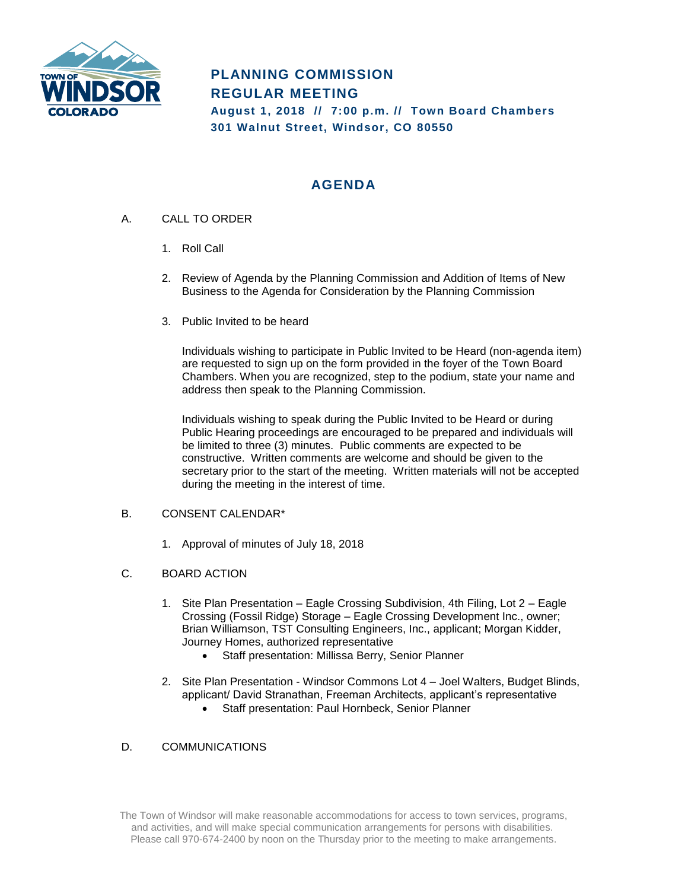

# **PLANNING COMMISSION REGULAR MEETING August 1, 2018 // 7:00 p.m. // Town Board Chambers 301 Walnut Street, Windsor, CO 80550**

## **AGENDA**

- A. CALL TO ORDER
	- 1. Roll Call
	- 2. Review of Agenda by the Planning Commission and Addition of Items of New Business to the Agenda for Consideration by the Planning Commission
	- 3. Public Invited to be heard

Individuals wishing to participate in Public Invited to be Heard (non-agenda item) are requested to sign up on the form provided in the foyer of the Town Board Chambers. When you are recognized, step to the podium, state your name and address then speak to the Planning Commission.

Individuals wishing to speak during the Public Invited to be Heard or during Public Hearing proceedings are encouraged to be prepared and individuals will be limited to three (3) minutes. Public comments are expected to be constructive. Written comments are welcome and should be given to the secretary prior to the start of the meeting. Written materials will not be accepted during the meeting in the interest of time.

### B. CONSENT CALENDAR\*

- 1. Approval of minutes of July 18, 2018
- C. BOARD ACTION
	- 1. Site Plan Presentation Eagle Crossing Subdivision, 4th Filing, Lot 2 Eagle Crossing (Fossil Ridge) Storage – Eagle Crossing Development Inc., owner; Brian Williamson, TST Consulting Engineers, Inc., applicant; Morgan Kidder, Journey Homes, authorized representative
		- Staff presentation: Millissa Berry, Senior Planner
	- 2. Site Plan Presentation Windsor Commons Lot 4 Joel Walters, Budget Blinds, applicant/ David Stranathan, Freeman Architects, applicant's representative
		- Staff presentation: Paul Hornbeck, Senior Planner

### D. COMMUNICATIONS

The Town of Windsor will make reasonable accommodations for access to town services, programs, and activities, and will make special communication arrangements for persons with disabilities. Please call 970-674-2400 by noon on the Thursday prior to the meeting to make arrangements.